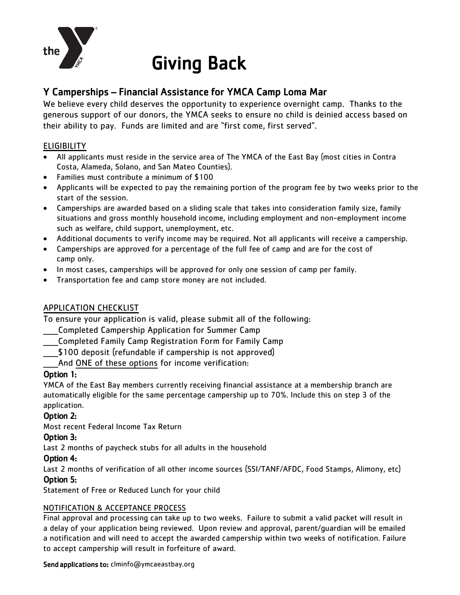

# Giving Back

# Y Camperships – Financial Assistance for YMCA Camp Loma Mar

We believe every child deserves the opportunity to experience overnight camp. Thanks to the generous support of our donors, the YMCA seeks to ensure no child is deinied access based on their ability to pay. Funds are limited and are "first come, first served".

### ELIGIBILITY

- All applicants must reside in the service area of The YMCA of the East Bay (most cities in Contra Costa, Alameda, Solano, and San Mateo Counties).
- Families must contribute a minimum of \$100
- Applicants will be expected to pay the remaining portion of the program fee by two weeks prior to the start of the session.
- Camperships are awarded based on a sliding scale that takes into consideration family size, family situations and gross monthly household income, including employment and non-employment income such as welfare, child support, unemployment, etc.
- Additional documents to verify income may be required. Not all applicants will receive a campership.
- Camperships are approved for a percentage of the full fee of camp and are for the cost of camp only.
- In most cases, camperships will be approved for only one session of camp per family.
- Transportation fee and camp store money are not included.

#### APPLICATION CHECKLIST

To ensure your application is valid, please submit all of the following:

- \_\_\_\_\_Completed Campership Application for Summer Camp
- \_\_\_\_\_Completed Family Camp Registration Form for Family Camp
- \$100 deposit (refundable if campership is not approved)

And ONE of these options for income verification:

#### Option 1:

YMCA of the East Bay members currently receiving financial assistance at a membership branch are automatically eligible for the same percentage campership up to 70%. Include this on step 3 of the application.

#### Option 2:

Most recent Federal Income Tax Return

#### Option 3:

Last 2 months of paycheck stubs for all adults in the household

#### Option 4:

Last 2 months of verification of all other income sources (SSI/TANF/AFDC, Food Stamps, Alimony, etc)

## Option 5:

Statement of Free or Reduced Lunch for your child

#### NOTIFICATION & ACCEPTANCE PROCESS

Final approval and processing can take up to two weeks. Failure to submit a valid packet will result in a delay of your application being reviewed. Upon review and approval, parent/guardian will be emailed a notification and will need to accept the awarded campership within two weeks of notification. Failure to accept campership will result in forfeiture of award.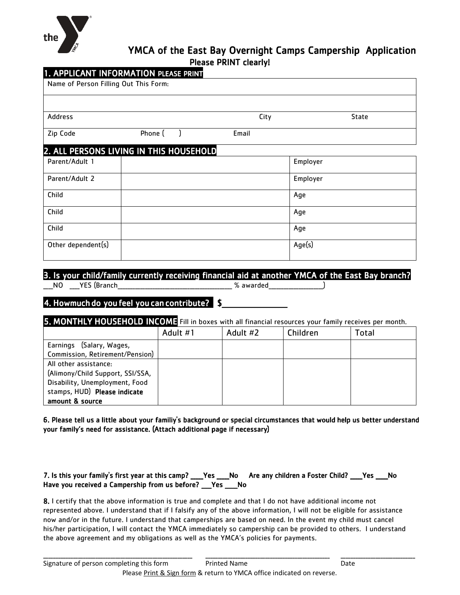

# YMCA of the East Bay Overnight Camps Campership Application Please PRINT clearly!

| City                                    |              |
|-----------------------------------------|--------------|
|                                         | <b>State</b> |
| Email                                   |              |
| 2. ALL PERSONS LIVING IN THIS HOUSEHOLD |              |
|                                         | Employer     |
|                                         | Employer     |
|                                         | Age          |
|                                         | Age          |
|                                         | Age          |
|                                         | Age(s)       |
|                                         |              |

## 3. Is your child/family currently receiving financial aid at another YMCA of the East Bay branch?

\_NO \_\_\_YES (Branch\_\_\_\_\_\_\_\_\_\_\_\_\_\_\_\_\_\_\_\_\_\_\_\_\_\_\_\_\_\_\_\_\_\_\_ % awarded\_

4. Howmuch do you feel you can contribute? \$

5. MONTHLY HOUSEHOLD INCOME Fill in boxes with all financial resources your family receives per month.

|                                  | Adult #1 | Adult #2 | Children | Total |
|----------------------------------|----------|----------|----------|-------|
| Earnings (Salary, Wages,         |          |          |          |       |
| Commission, Retirement/Pension)  |          |          |          |       |
| All other assistance:            |          |          |          |       |
| (Alimony/Child Support, SSI/SSA, |          |          |          |       |
| Disability, Unemployment, Food   |          |          |          |       |
| stamps, HUD) Please indicate     |          |          |          |       |
| amount & source                  |          |          |          |       |

6. Please tell us a little about your familiy's background or special circumstances that would help us better understand your family's need for assistance. (Attach additional page if necessary)

| 7. Is this your family's first year at this camp? ___Yes ___No Are any children a Foster Child? ___Yes ___No |  |  |  |
|--------------------------------------------------------------------------------------------------------------|--|--|--|
| Have you received a Campership from us before? Pes No                                                        |  |  |  |

8. I certify that the above information is true and complete and that I do not have additional income not represented above. I understand that if I falsify any of the above information, I will not be eligible for assistance now and/or in the future. I understand that camperships are based on need. In the event my child must cancel his/her participation, I will contact the YMCA immediately so campership can be provided to others. I understand the above agreement and my obligations as well as the YMCA's policies for payments.